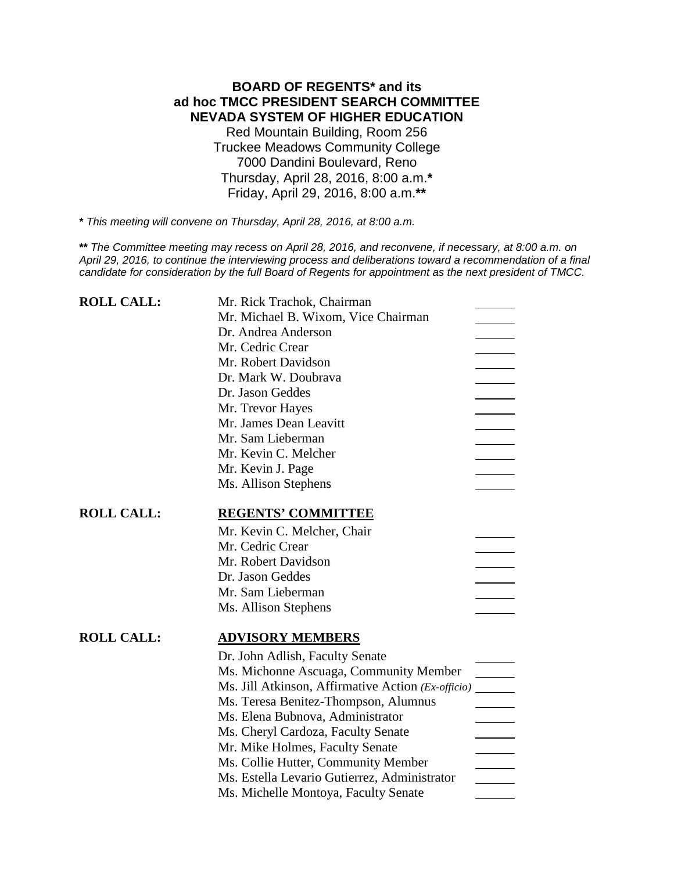# **BOARD OF REGENTS\* and its ad hoc TMCC PRESIDENT SEARCH COMMITTEE NEVADA SYSTEM OF HIGHER EDUCATION** Red Mountain Building, Room 256 Truckee Meadows Community College 7000 Dandini Boulevard, Reno Thursday, April 28, 2016, 8:00 a.m.**\*** Friday, April 29, 2016, 8:00 a.m.**\*\***

**\*** *This meeting will convene on Thursday, April 28, 2016, at 8:00 a.m.*

**\*\*** *The Committee meeting may recess on April 28, 2016, and reconvene, if necessary, at 8:00 a.m. on April 29, 2016, to continue the interviewing process and deliberations toward a recommendation of a final candidate for consideration by the full Board of Regents for appointment as the next president of TMCC.*

| <b>ROLL CALL:</b> | Mr. Rick Trachok, Chairman                         |
|-------------------|----------------------------------------------------|
|                   | Mr. Michael B. Wixom, Vice Chairman                |
|                   | Dr. Andrea Anderson                                |
|                   | Mr. Cedric Crear                                   |
|                   | Mr. Robert Davidson                                |
|                   | Dr. Mark W. Doubrava                               |
|                   | Dr. Jason Geddes                                   |
|                   | Mr. Trevor Hayes                                   |
|                   | Mr. James Dean Leavitt                             |
|                   | Mr. Sam Lieberman                                  |
|                   | Mr. Kevin C. Melcher                               |
|                   | Mr. Kevin J. Page                                  |
|                   | Ms. Allison Stephens                               |
| <b>ROLL CALL:</b> | <b>REGENTS' COMMITTEE</b>                          |
|                   | Mr. Kevin C. Melcher, Chair                        |
|                   | Mr. Cedric Crear                                   |
|                   | Mr. Robert Davidson                                |
|                   | Dr. Jason Geddes                                   |
|                   | Mr. Sam Lieberman                                  |
|                   | Ms. Allison Stephens                               |
|                   |                                                    |
| <b>ROLL CALL:</b> | <b>ADVISORY MEMBERS</b>                            |
|                   | Dr. John Adlish, Faculty Senate                    |
|                   | Ms. Michonne Ascuaga, Community Member             |
|                   | Ms. Jill Atkinson, Affirmative Action (Ex-officio) |
|                   | Ms. Teresa Benitez-Thompson, Alumnus               |
|                   | Ms. Elena Bubnova, Administrator                   |
|                   | Ms. Cheryl Cardoza, Faculty Senate                 |
|                   | Mr. Mike Holmes, Faculty Senate                    |
|                   | Ms. Collie Hutter, Community Member                |
|                   | Ms. Estella Levario Gutierrez, Administrator       |
|                   | Ms. Michelle Montoya, Faculty Senate               |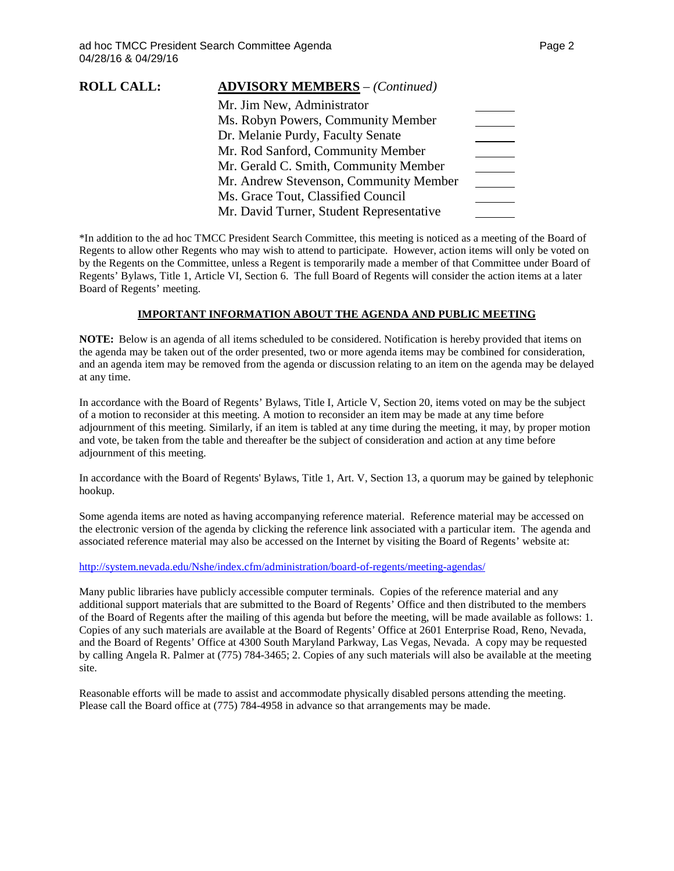| <b>ROLL CALL:</b> | <b>ADVISORY MEMBERS</b> - (Continued)    |  |
|-------------------|------------------------------------------|--|
|                   | Mr. Jim New, Administrator               |  |
|                   | Ms. Robyn Powers, Community Member       |  |
|                   | Dr. Melanie Purdy, Faculty Senate        |  |
|                   | Mr. Rod Sanford, Community Member        |  |
|                   | Mr. Gerald C. Smith, Community Member    |  |
|                   | Mr. Andrew Stevenson, Community Member   |  |
|                   | Ms. Grace Tout, Classified Council       |  |
|                   | Mr. David Turner, Student Representative |  |
|                   |                                          |  |

\*In addition to the ad hoc TMCC President Search Committee, this meeting is noticed as a meeting of the Board of Regents to allow other Regents who may wish to attend to participate. However, action items will only be voted on by the Regents on the Committee, unless a Regent is temporarily made a member of that Committee under Board of Regents' Bylaws, Title 1, Article VI, Section 6. The full Board of Regents will consider the action items at a later Board of Regents' meeting.

### **IMPORTANT INFORMATION ABOUT THE AGENDA AND PUBLIC MEETING**

**NOTE:** Below is an agenda of all items scheduled to be considered. Notification is hereby provided that items on the agenda may be taken out of the order presented, two or more agenda items may be combined for consideration, and an agenda item may be removed from the agenda or discussion relating to an item on the agenda may be delayed at any time.

In accordance with the Board of Regents' Bylaws, Title I, Article V, Section 20, items voted on may be the subject of a motion to reconsider at this meeting. A motion to reconsider an item may be made at any time before adjournment of this meeting. Similarly, if an item is tabled at any time during the meeting, it may, by proper motion and vote, be taken from the table and thereafter be the subject of consideration and action at any time before adjournment of this meeting.

In accordance with the Board of Regents' Bylaws, Title 1, Art. V, Section 13, a quorum may be gained by telephonic hookup.

Some agenda items are noted as having accompanying reference material. Reference material may be accessed on the electronic version of the agenda by clicking the reference link associated with a particular item. The agenda and associated reference material may also be accessed on the Internet by visiting the Board of Regents' website at:

### <http://system.nevada.edu/Nshe/index.cfm/administration/board-of-regents/meeting-agendas/>

Many public libraries have publicly accessible computer terminals. Copies of the reference material and any additional support materials that are submitted to the Board of Regents' Office and then distributed to the members of the Board of Regents after the mailing of this agenda but before the meeting, will be made available as follows: 1. Copies of any such materials are available at the Board of Regents' Office at 2601 Enterprise Road, Reno, Nevada, and the Board of Regents' Office at 4300 South Maryland Parkway, Las Vegas, Nevada. A copy may be requested by calling Angela R. Palmer at (775) 784-3465; 2. Copies of any such materials will also be available at the meeting site.

Reasonable efforts will be made to assist and accommodate physically disabled persons attending the meeting. Please call the Board office at (775) 784-4958 in advance so that arrangements may be made.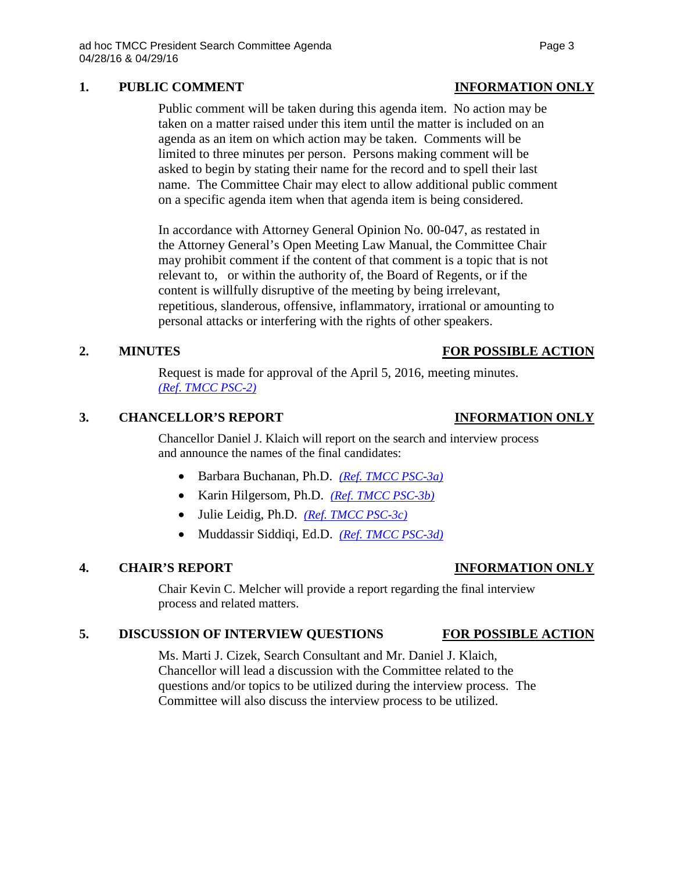# **1. PUBLIC COMMENT INFORMATION ONLY**

Public comment will be taken during this agenda item. No action may be taken on a matter raised under this item until the matter is included on an agenda as an item on which action may be taken. Comments will be limited to three minutes per person. Persons making comment will be asked to begin by stating their name for the record and to spell their last name. The Committee Chair may elect to allow additional public comment on a specific agenda item when that agenda item is being considered.

In accordance with Attorney General Opinion No. 00-047, as restated in the Attorney General's Open Meeting Law Manual, the Committee Chair may prohibit comment if the content of that comment is a topic that is not relevant to, or within the authority of, the Board of Regents, or if the content is willfully disruptive of the meeting by being irrelevant, repetitious, slanderous, offensive, inflammatory, irrational or amounting to personal attacks or interfering with the rights of other speakers.

# **2. MINUTES FOR POSSIBLE ACTION**

Request is made for approval of the April 5, 2016, meeting minutes. *(Ref*. *[TMCC PSC-2\)](http://system.nevada.edu/tasks/sites/Nshe/assets/File/BoardOfRegents/Agendas/2016/apr-mtgs/TMCC/TMCC%20PSC-2.pdf)*

## **3. CHANCELLOR'S REPORT INFORMATION ONLY**

Chancellor Daniel J. Klaich will report on the search and interview process and announce the names of the final candidates:

- Barbara Buchanan, Ph.D. *[\(Ref. TMCC PSC-3a\)](http://system.nevada.edu/tasks/sites/Nshe/assets/File/BoardOfRegents/Agendas/2016/apr-mtgs/TMCC/TMCC%20PSC-3a.pdf)*
- Karin Hilgersom, Ph.D. *[\(Ref. TMCC PSC-3b\)](http://system.nevada.edu/tasks/sites/Nshe/assets/File/BoardOfRegents/Agendas/2016/apr-mtgs/TMCC/TMCC%20PSC-3b.pdf)*
- Julie Leidig, Ph.D. *[\(Ref. TMCC PSC-3c\)](http://system.nevada.edu/tasks/sites/Nshe/assets/File/BoardOfRegents/Agendas/2016/apr-mtgs/TMCC/TMCC%20PSC-3c.pdf)*
- Muddassir Siddiqi, Ed.D. *[\(Ref. TMCC PSC-3d\)](http://system.nevada.edu/tasks/sites/Nshe/assets/File/BoardOfRegents/Agendas/2016/apr-mtgs/TMCC/TMCC%20PSC-3d.pdf)*

### **4. CHAIR'S REPORT INFORMATION ONLY**

Chair Kevin C. Melcher will provide a report regarding the final interview process and related matters.

### **5. DISCUSSION OF INTERVIEW QUESTIONS FOR POSSIBLE ACTION**

Ms. Marti J. Cizek, Search Consultant and Mr. Daniel J. Klaich, Chancellor will lead a discussion with the Committee related to the questions and/or topics to be utilized during the interview process. The Committee will also discuss the interview process to be utilized.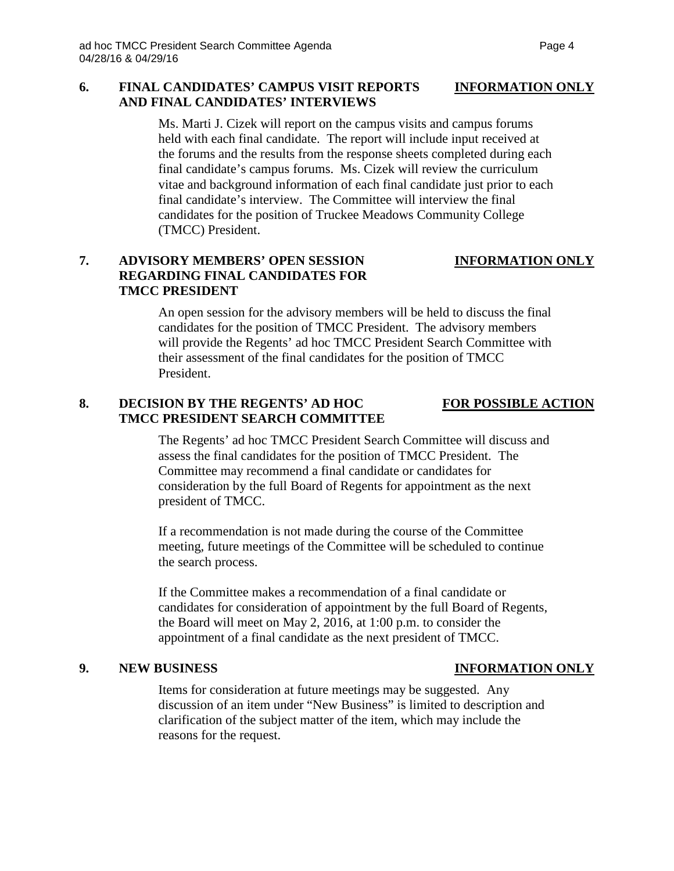### **6. FINAL CANDIDATES' CAMPUS VISIT REPORTS INFORMATION ONLY AND FINAL CANDIDATES' INTERVIEWS**

Ms. Marti J. Cizek will report on the campus visits and campus forums held with each final candidate. The report will include input received at the forums and the results from the response sheets completed during each final candidate's campus forums. Ms. Cizek will review the curriculum vitae and background information of each final candidate just prior to each final candidate's interview. The Committee will interview the final candidates for the position of Truckee Meadows Community College (TMCC) President.

# **7. ADVISORY MEMBERS' OPEN SESSION INFORMATION ONLY REGARDING FINAL CANDIDATES FOR TMCC PRESIDENT**

An open session for the advisory members will be held to discuss the final candidates for the position of TMCC President. The advisory members will provide the Regents' ad hoc TMCC President Search Committee with their assessment of the final candidates for the position of TMCC President.

# **8. DECISION BY THE REGENTS' AD HOC FOR POSSIBLE ACTION TMCC PRESIDENT SEARCH COMMITTEE**

The Regents' ad hoc TMCC President Search Committee will discuss and assess the final candidates for the position of TMCC President. The Committee may recommend a final candidate or candidates for consideration by the full Board of Regents for appointment as the next president of TMCC.

If a recommendation is not made during the course of the Committee meeting, future meetings of the Committee will be scheduled to continue the search process.

If the Committee makes a recommendation of a final candidate or candidates for consideration of appointment by the full Board of Regents, the Board will meet on May 2, 2016, at 1:00 p.m. to consider the appointment of a final candidate as the next president of TMCC.

### **9. NEW BUSINESS INFORMATION ONLY**

Items for consideration at future meetings may be suggested. Any discussion of an item under "New Business" is limited to description and clarification of the subject matter of the item, which may include the reasons for the request.